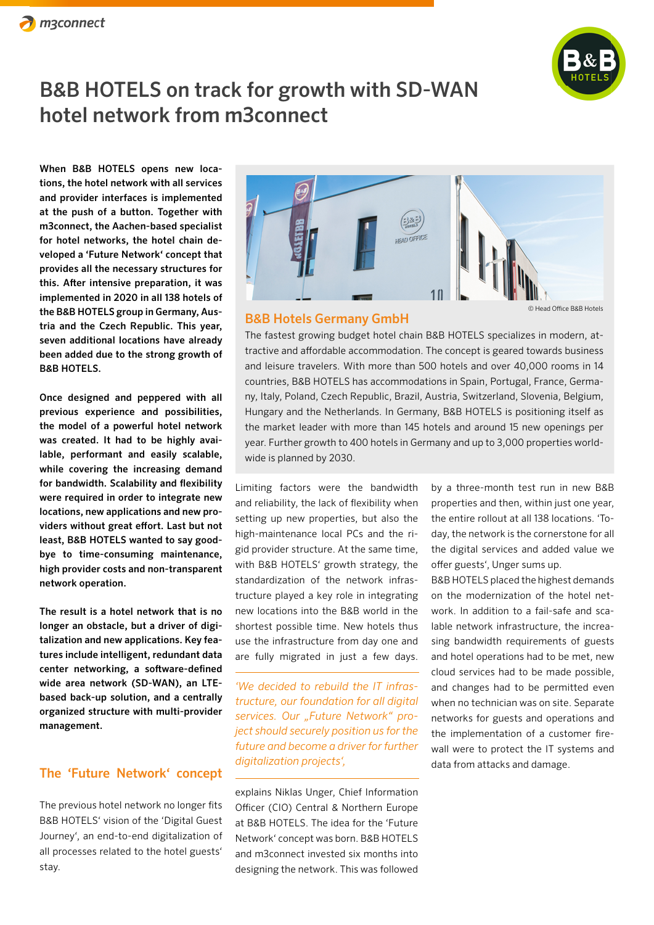

When B&B HOTELS opens new locations, the hotel network with all services and provider interfaces is implemented at the push of a button. Together with m3connect, the Aachen-based specialist for hotel networks, the hotel chain developed a 'Future Network' concept that provides all the necessary structures for this. After intensive preparation, it was implemented in 2020 in all 138 hotels of the B&B HOTELS group in Germany, Austria and the Czech Republic. This year, seven additional locations have already been added due to the strong growth of B&B HOTELS.

Once designed and peppered with all previous experience and possibilities, the model of a powerful hotel network was created. It had to be highly available, performant and easily scalable, while covering the increasing demand for bandwidth. Scalability and flexibility were required in order to integrate new locations, new applications and new providers without great effort. Last but not least, B&B HOTELS wanted to say goodbye to time-consuming maintenance, high provider costs and non-transparent network operation.

The result is a hotel network that is no longer an obstacle, but a driver of digitalization and new applications. Key features include intelligent, redundant data center networking, a software-defined wide area network (SD-WAN), an LTEbased back-up solution, and a centrally organized structure with multi-provider management.

#### The 'Future Network' concept

The previous hotel network no longer fits B&B HOTELS' vision of the 'Digital Guest Journey', an end-to-end digitalization of all processes related to the hotel guests' stay.



© Head Office B&B Hotels

#### B&B Hotels Germany GmbH

The fastest growing budget hotel chain B&B HOTELS specializes in modern, attractive and affordable accommodation. The concept is geared towards business and leisure travelers. With more than 500 hotels and over 40,000 rooms in 14 countries, B&B HOTELS has accommodations in Spain, Portugal, France, Germany, Italy, Poland, Czech Republic, Brazil, Austria, Switzerland, Slovenia, Belgium, Hungary and the Netherlands. In Germany, B&B HOTELS is positioning itself as the market leader with more than 145 hotels and around 15 new openings per year. Further growth to 400 hotels in Germany and up to 3,000 properties worldwide is planned by 2030.

Limiting factors were the bandwidth and reliability, the lack of flexibility when setting up new properties, but also the high-maintenance local PCs and the rigid provider structure. At the same time, with B&B HOTELS' growth strategy, the standardization of the network infrastructure played a key role in integrating new locations into the B&B world in the shortest possible time. New hotels thus use the infrastructure from day one and are fully migrated in just a few days.

*'We decided to rebuild the IT infrastructure, our foundation for all digital*  services. Our "Future Network" pro*ject should securely position us for the future and become a driver for further digitalization projects',*

explains Niklas Unger, Chief Information Officer (CIO) Central & Northern Europe at B&B HOTELS. The idea for the 'Future Network' concept was born. B&B HOTELS and m3connect invested six months into designing the network. This was followed

by a three-month test run in new B&B properties and then, within just one year, the entire rollout at all 138 locations. 'Today, the network is the cornerstone for all the digital services and added value we offer guests', Unger sums up.

B&B HOTELS placed the highest demands on the modernization of the hotel network. In addition to a fail-safe and scalable network infrastructure, the increasing bandwidth requirements of guests and hotel operations had to be met, new cloud services had to be made possible, and changes had to be permitted even when no technician was on site. Separate networks for guests and operations and the implementation of a customer firewall were to protect the IT systems and data from attacks and damage.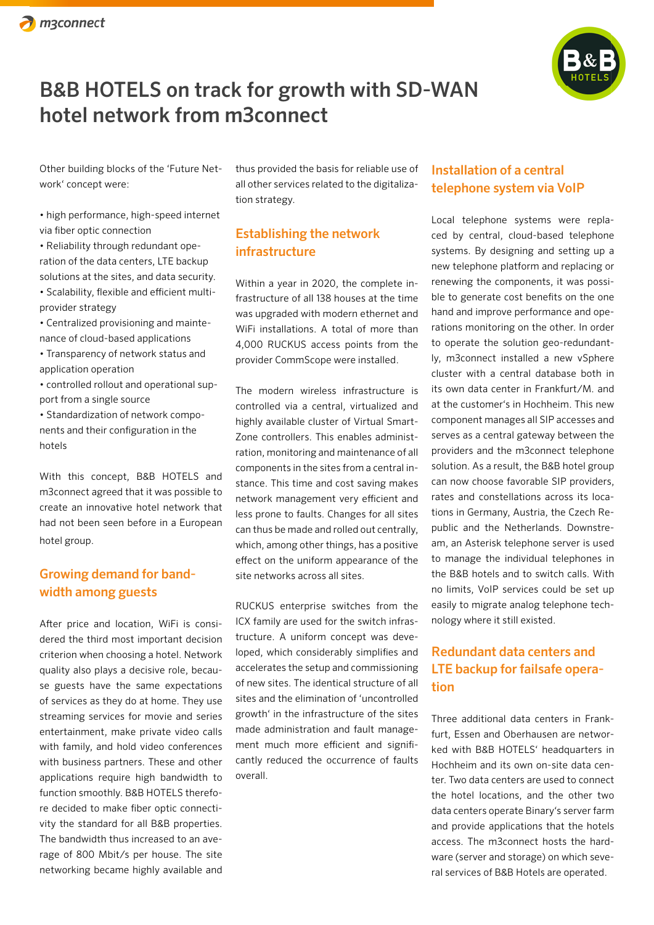

Other building blocks of the 'Future Network' concept were:

• high performance, high-speed internet via fiber optic connection

• Reliability through redundant operation of the data centers, LTE backup solutions at the sites, and data security. • Scalability, flexible and efficient multiprovider strategy

• Centralized provisioning and maintenance of cloud-based applications

• Transparency of network status and application operation

• controlled rollout and operational support from a single source

• Standardization of network components and their configuration in the hotels

With this concept, B&B HOTELS and m3connect agreed that it was possible to create an innovative hotel network that had not been seen before in a European hotel group.

### Growing demand for bandwidth among guests

After price and location, WiFi is considered the third most important decision criterion when choosing a hotel. Network quality also plays a decisive role, because guests have the same expectations of services as they do at home. They use streaming services for movie and series entertainment, make private video calls with family, and hold video conferences with business partners. These and other applications require high bandwidth to function smoothly. B&B HOTELS therefore decided to make fiber optic connectivity the standard for all B&B properties. The bandwidth thus increased to an average of 800 Mbit/s per house. The site networking became highly available and

thus provided the basis for reliable use of all other services related to the digitalization strategy.

## Establishing the network infrastructure

Within a year in 2020, the complete infrastructure of all 138 houses at the time was upgraded with modern ethernet and WiFi installations. A total of more than 4,000 RUCKUS access points from the provider CommScope were installed.

The modern wireless infrastructure is controlled via a central, virtualized and highly available cluster of Virtual Smart-Zone controllers. This enables administration, monitoring and maintenance of all components in the sites from a central instance. This time and cost saving makes network management very efficient and less prone to faults. Changes for all sites can thus be made and rolled out centrally, which, among other things, has a positive effect on the uniform appearance of the site networks across all sites.

RUCKUS enterprise switches from the ICX family are used for the switch infrastructure. A uniform concept was developed, which considerably simplifies and accelerates the setup and commissioning of new sites. The identical structure of all sites and the elimination of 'uncontrolled growth' in the infrastructure of the sites made administration and fault management much more efficient and significantly reduced the occurrence of faults overall.

### Installation of a central telephone system via VoIP

Local telephone systems were replaced by central, cloud-based telephone systems. By designing and setting up a new telephone platform and replacing or renewing the components, it was possible to generate cost benefits on the one hand and improve performance and operations monitoring on the other. In order to operate the solution geo-redundantly, m3connect installed a new vSphere cluster with a central database both in its own data center in Frankfurt/M. and at the customer's in Hochheim. This new component manages all SIP accesses and serves as a central gateway between the providers and the m3connect telephone solution. As a result, the B&B hotel group can now choose favorable SIP providers, rates and constellations across its locations in Germany, Austria, the Czech Republic and the Netherlands. Downstream, an Asterisk telephone server is used to manage the individual telephones in the B&B hotels and to switch calls. With no limits, VoIP services could be set up easily to migrate analog telephone technology where it still existed.

## Redundant data centers and LTE backup for failsafe operation

Three additional data centers in Frankfurt, Essen and Oberhausen are networked with B&B HOTELS' headquarters in Hochheim and its own on-site data center. Two data centers are used to connect the hotel locations, and the other two data centers operate Binary's server farm and provide applications that the hotels access. The m3connect hosts the hardware (server and storage) on which several services of B&B Hotels are operated.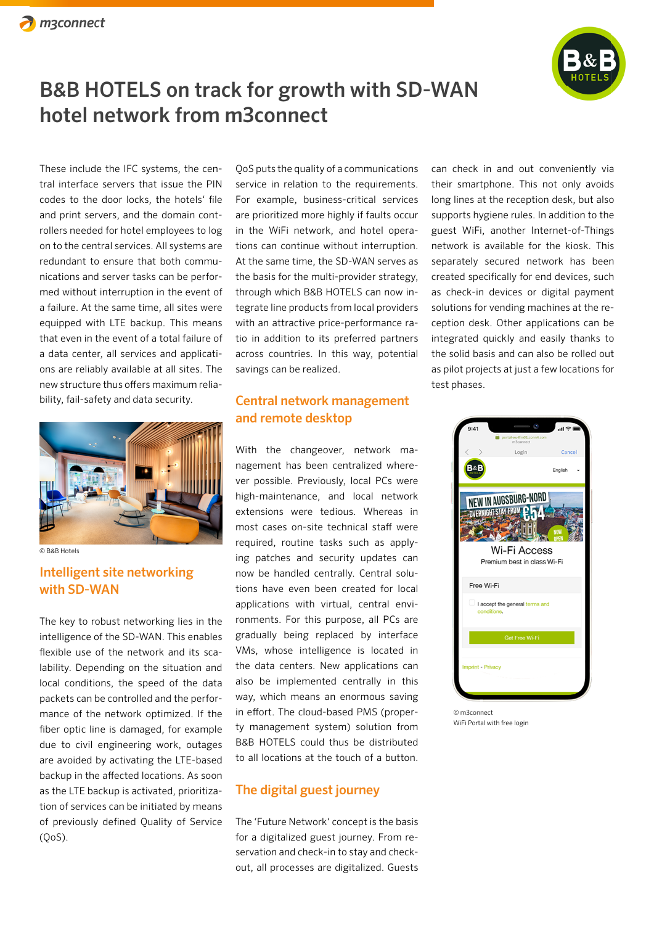

These include the IFC systems, the central interface servers that issue the PIN codes to the door locks, the hotels' file and print servers, and the domain controllers needed for hotel employees to log on to the central services. All systems are redundant to ensure that both communications and server tasks can be performed without interruption in the event of a failure. At the same time, all sites were equipped with LTE backup. This means that even in the event of a total failure of a data center, all services and applications are reliably available at all sites. The new structure thus offers maximum reliability, fail-safety and data security.



© B&B Hotels

### Intelligent site networking with SD-WAN

The key to robust networking lies in the intelligence of the SD-WAN. This enables flexible use of the network and its scalability. Depending on the situation and local conditions, the speed of the data packets can be controlled and the performance of the network optimized. If the fiber optic line is damaged, for example due to civil engineering work, outages are avoided by activating the LTE-based backup in the affected locations. As soon as the LTE backup is activated, prioritization of services can be initiated by means of previously defined Quality of Service (QoS).

QoS puts the quality of a communications service in relation to the requirements. For example, business-critical services are prioritized more highly if faults occur in the WiFi network, and hotel operations can continue without interruption. At the same time, the SD-WAN serves as the basis for the multi-provider strategy, through which B&B HOTELS can now integrate line products from local providers with an attractive price-performance ratio in addition to its preferred partners across countries. In this way, potential savings can be realized.

### Central network management and remote desktop

With the changeover, network management has been centralized wherever possible. Previously, local PCs were high-maintenance, and local network extensions were tedious. Whereas in most cases on-site technical staff were required, routine tasks such as applying patches and security updates can now be handled centrally. Central solutions have even been created for local applications with virtual, central environments. For this purpose, all PCs are gradually being replaced by interface VMs, whose intelligence is located in the data centers. New applications can also be implemented centrally in this way, which means an enormous saving in effort. The cloud-based PMS (property management system) solution from B&B HOTELS could thus be distributed to all locations at the touch of a button.

#### The digital guest journey

The 'Future Network' concept is the basis for a digitalized guest journey. From reservation and check-in to stay and checkout, all processes are digitalized. Guests

can check in and out conveniently via their smartphone. This not only avoids long lines at the reception desk, but also supports hygiene rules. In addition to the guest WiFi, another Internet-of-Things network is available for the kiosk. This separately secured network has been created specifically for end devices, such as check-in devices or digital payment solutions for vending machines at the reception desk. Other applications can be integrated quickly and easily thanks to the solid basis and can also be rolled out as pilot projects at just a few locations for test phases.



© m3connect WiFi Portal with free login